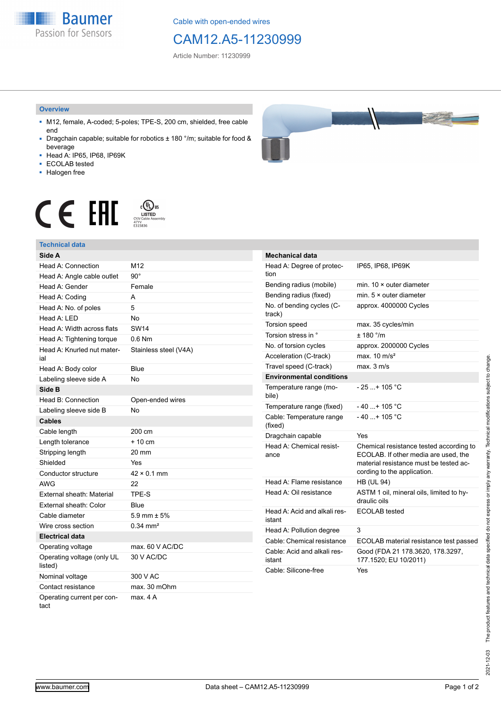**Baumer** Passion for Sensors

Cable with open-ended wires

# CAM12.A5-11230999

Article Number: 11230999

#### **Overview**

- M12, female, A-coded; 5-poles; TPE-S, 200 cm, shielded, free cable end
- Dragchain capable; suitable for robotics ± 180 °/m; suitable for food & beverage
- Head A: IP65, IP68, IP69K
- ECOLAB tested
- Halogen free





## **Technical data**

| Side A                                |                       |
|---------------------------------------|-----------------------|
| Head A: Connection                    | M <sub>12</sub>       |
| Head A: Angle cable outlet            | $90^{\circ}$          |
| Head A: Gender                        | Female                |
| Head A: Coding                        | А                     |
| Head A: No. of poles                  | 5                     |
| Head A: LED                           | <b>No</b>             |
| Head A: Width across flats            | <b>SW14</b>           |
| Head A: Tightening torque             | $0.6$ Nm              |
| Head A: Knurled nut mater-<br>ial     | Stainless steel (V4A) |
| Head A: Body color                    | Blue                  |
| Labeling sleeve side A                | <b>No</b>             |
| Side B                                |                       |
| Head B: Connection                    | Open-ended wires      |
| Labeling sleeve side B                | <b>No</b>             |
| <b>Cables</b>                         |                       |
| Cable length                          | 200 cm                |
| Length tolerance                      | $+10$ cm              |
| Stripping length                      | 20 mm                 |
| Shielded                              | Yes                   |
| Conductor structure                   | $42 \times 0.1$ mm    |
| AWG                                   | 22                    |
| External sheath: Material             | TPE-S                 |
| External sheath: Color                | Blue                  |
| Cable diameter                        | 5.9 mm $\pm$ 5%       |
| Wire cross section                    | $0.34 \text{ mm}^2$   |
| <b>Electrical data</b>                |                       |
| Operating voltage                     | max. 60 V AC/DC       |
| Operating voltage (only UL<br>listed) | 30 V AC/DC            |
| Nominal voltage                       | 300 V AC              |
| Contact resistance                    | max. 30 mOhm          |
| Operating current per con-<br>tact    | max. 4A               |

| <b>Mechanical data</b>                 |                                                                                                                                                          |
|----------------------------------------|----------------------------------------------------------------------------------------------------------------------------------------------------------|
| Head A: Degree of protec-<br>tion      | IP65, IP68, IP69K                                                                                                                                        |
| Bending radius (mobile)                | min. 10 × outer diameter                                                                                                                                 |
| Bending radius (fixed)                 | min. $5 \times$ outer diameter                                                                                                                           |
| No. of bending cycles (C-<br>track)    | approx. 4000000 Cycles                                                                                                                                   |
| Torsion speed                          | max. 35 cycles/min                                                                                                                                       |
| Torsion stress in °                    | $+ 180$ $^{\circ}$ /m                                                                                                                                    |
| No. of torsion cycles                  | approx. 2000000 Cycles                                                                                                                                   |
| Acceleration (C-track)                 | max. $10 \text{ m/s}^2$                                                                                                                                  |
| Travel speed (C-track)                 | max. 3 m/s                                                                                                                                               |
| <b>Environmental conditions</b>        |                                                                                                                                                          |
| Temperature range (mo-<br>bile)        | - 25 + 105 °C                                                                                                                                            |
| Temperature range (fixed)              | $-40+105 °C$                                                                                                                                             |
| Cable: Temperature range<br>(fixed)    | $-40+105 °C$                                                                                                                                             |
| Dragchain capable                      | Yes                                                                                                                                                      |
| Head A: Chemical resist-<br>ance       | Chemical resistance tested according to<br>ECOLAB. If other media are used, the<br>material resistance must be tested ac-<br>cording to the application. |
| Head A: Flame resistance               | <b>HB (UL 94)</b>                                                                                                                                        |
| Head A: Oil resistance                 | ASTM 1 oil, mineral oils, limited to hy-<br>draulic oils                                                                                                 |
| Head A: Acid and alkali res-<br>istant | <b>ECOLAB</b> tested                                                                                                                                     |
| Head A: Pollution degree               | 3                                                                                                                                                        |
| Cable: Chemical resistance             | ECOLAB material resistance test passed                                                                                                                   |
| Cable: Acid and alkali res-<br>istant  | Good (FDA 21 178.3620, 178.3297,<br>177.1520; EU 10/2011)                                                                                                |
| Cable: Silicone-free                   | Yes                                                                                                                                                      |